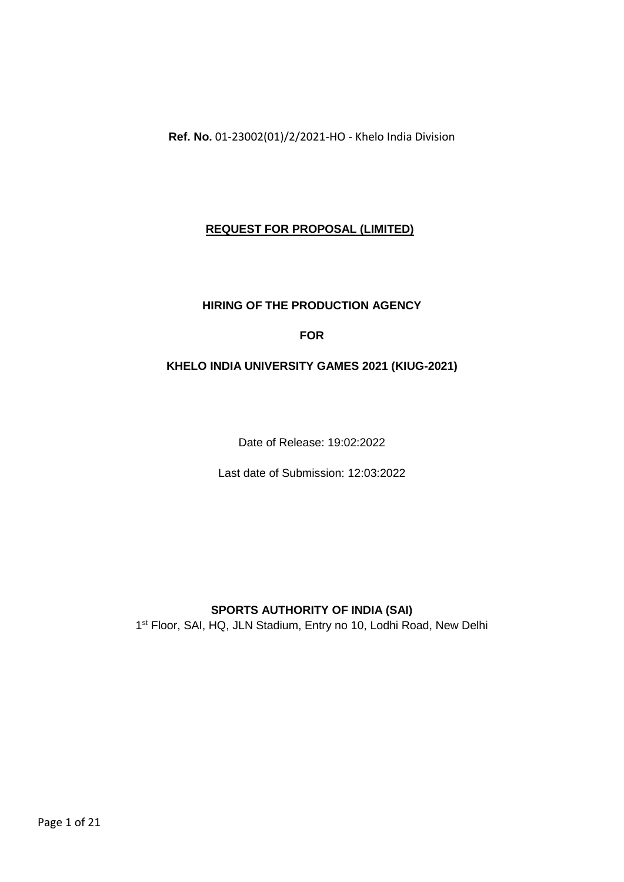**Ref. No.** 01-23002(01)/2/2021-HO - Khelo India Division

# **REQUEST FOR PROPOSAL (LIMITED)**

## **HIRING OF THE PRODUCTION AGENCY**

# **FOR**

## **KHELO INDIA UNIVERSITY GAMES 2021 (KIUG-2021)**

Date of Release: 19:02:2022

Last date of Submission: 12:03:2022

## **SPORTS AUTHORITY OF INDIA (SAI)**

1<sup>st</sup> Floor, SAI, HQ, JLN Stadium, Entry no 10, Lodhi Road, New Delhi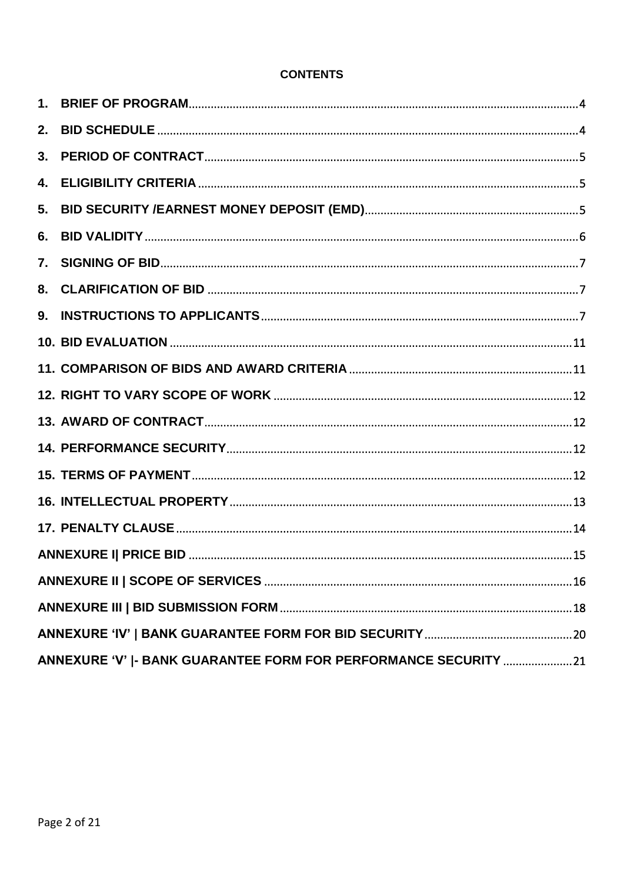| 2. |                                                                 |  |  |  |  |  |  |
|----|-----------------------------------------------------------------|--|--|--|--|--|--|
| 3. |                                                                 |  |  |  |  |  |  |
| 4. |                                                                 |  |  |  |  |  |  |
| 5. |                                                                 |  |  |  |  |  |  |
| 6. |                                                                 |  |  |  |  |  |  |
| 7. |                                                                 |  |  |  |  |  |  |
| 8. |                                                                 |  |  |  |  |  |  |
| 9. |                                                                 |  |  |  |  |  |  |
|    |                                                                 |  |  |  |  |  |  |
|    |                                                                 |  |  |  |  |  |  |
|    |                                                                 |  |  |  |  |  |  |
|    |                                                                 |  |  |  |  |  |  |
|    |                                                                 |  |  |  |  |  |  |
|    |                                                                 |  |  |  |  |  |  |
|    |                                                                 |  |  |  |  |  |  |
|    |                                                                 |  |  |  |  |  |  |
|    |                                                                 |  |  |  |  |  |  |
|    |                                                                 |  |  |  |  |  |  |
|    |                                                                 |  |  |  |  |  |  |
|    |                                                                 |  |  |  |  |  |  |
|    | ANNEXURE 'V'  - BANK GUARANTEE FORM FOR PERFORMANCE SECURITY 21 |  |  |  |  |  |  |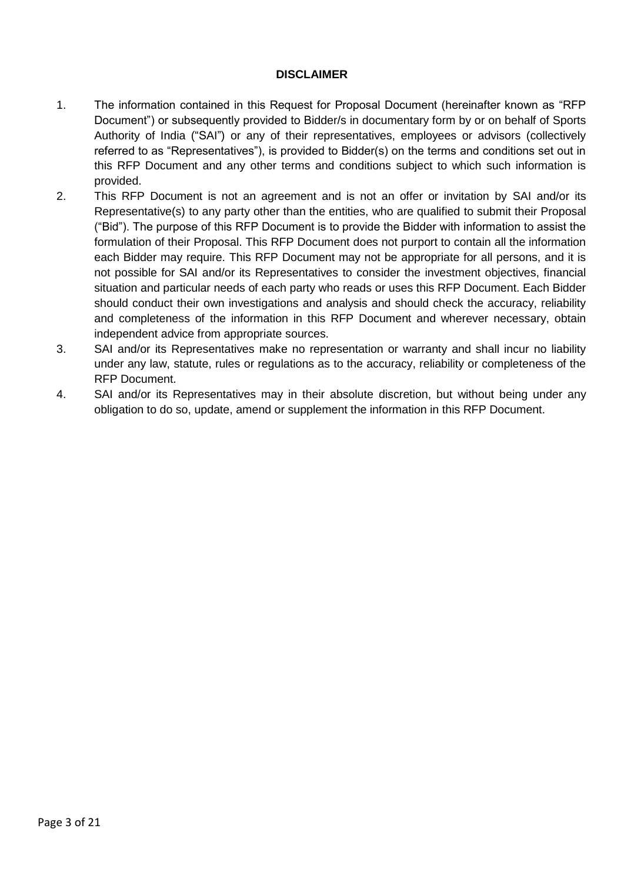### **DISCLAIMER**

- 1. The information contained in this Request for Proposal Document (hereinafter known as "RFP Document") or subsequently provided to Bidder/s in documentary form by or on behalf of Sports Authority of India ("SAI") or any of their representatives, employees or advisors (collectively referred to as "Representatives"), is provided to Bidder(s) on the terms and conditions set out in this RFP Document and any other terms and conditions subject to which such information is provided.
- 2. This RFP Document is not an agreement and is not an offer or invitation by SAI and/or its Representative(s) to any party other than the entities, who are qualified to submit their Proposal ("Bid"). The purpose of this RFP Document is to provide the Bidder with information to assist the formulation of their Proposal. This RFP Document does not purport to contain all the information each Bidder may require. This RFP Document may not be appropriate for all persons, and it is not possible for SAI and/or its Representatives to consider the investment objectives, financial situation and particular needs of each party who reads or uses this RFP Document. Each Bidder should conduct their own investigations and analysis and should check the accuracy, reliability and completeness of the information in this RFP Document and wherever necessary, obtain independent advice from appropriate sources.
- 3. SAI and/or its Representatives make no representation or warranty and shall incur no liability under any law, statute, rules or regulations as to the accuracy, reliability or completeness of the RFP Document.
- 4. SAI and/or its Representatives may in their absolute discretion, but without being under any obligation to do so, update, amend or supplement the information in this RFP Document.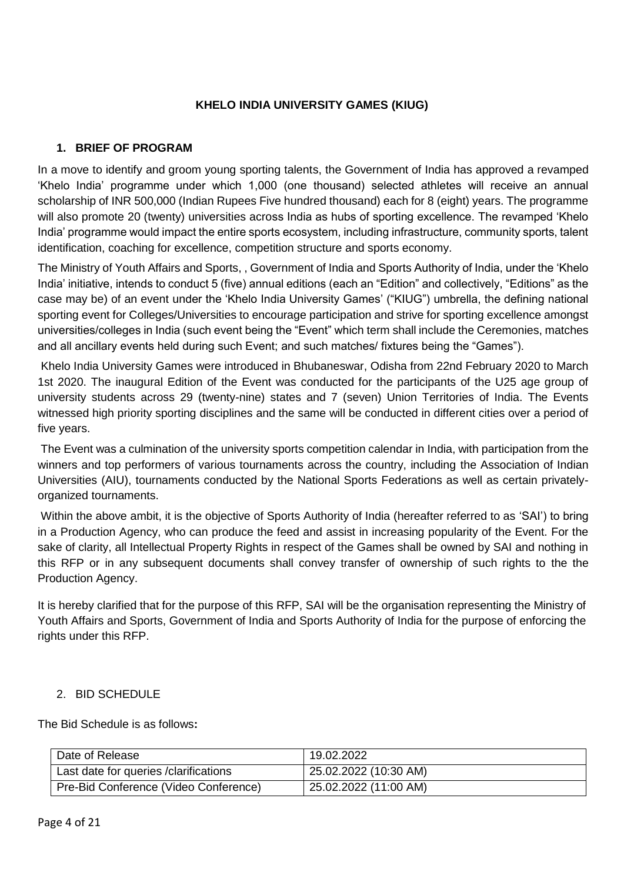## **KHELO INDIA UNIVERSITY GAMES (KIUG)**

# <span id="page-3-0"></span>**1. BRIEF OF PROGRAM**

In a move to identify and groom young sporting talents, the Government of India has approved a revamped 'Khelo India' programme under which 1,000 (one thousand) selected athletes will receive an annual scholarship of INR 500,000 (Indian Rupees Five hundred thousand) each for 8 (eight) years. The programme will also promote 20 (twenty) universities across India as hubs of sporting excellence. The revamped 'Khelo India' programme would impact the entire sports ecosystem, including infrastructure, community sports, talent identification, coaching for excellence, competition structure and sports economy.

The Ministry of Youth Affairs and Sports, , Government of India and Sports Authority of India, under the 'Khelo India' initiative, intends to conduct 5 (five) annual editions (each an "Edition" and collectively, "Editions" as the case may be) of an event under the 'Khelo India University Games' ("KIUG") umbrella, the defining national sporting event for Colleges/Universities to encourage participation and strive for sporting excellence amongst universities/colleges in India (such event being the "Event" which term shall include the Ceremonies, matches and all ancillary events held during such Event; and such matches/ fixtures being the "Games").

Khelo India University Games were introduced in Bhubaneswar, Odisha from 22nd February 2020 to March 1st 2020. The inaugural Edition of the Event was conducted for the participants of the U25 age group of university students across 29 (twenty-nine) states and 7 (seven) Union Territories of India. The Events witnessed high priority sporting disciplines and the same will be conducted in different cities over a period of five years.

The Event was a culmination of the university sports competition calendar in India, with participation from the winners and top performers of various tournaments across the country, including the Association of Indian Universities (AIU), tournaments conducted by the National Sports Federations as well as certain privatelyorganized tournaments.

Within the above ambit, it is the objective of Sports Authority of India (hereafter referred to as 'SAI') to bring in a Production Agency, who can produce the feed and assist in increasing popularity of the Event. For the sake of clarity, all Intellectual Property Rights in respect of the Games shall be owned by SAI and nothing in this RFP or in any subsequent documents shall convey transfer of ownership of such rights to the the Production Agency.

It is hereby clarified that for the purpose of this RFP, SAI will be the organisation representing the Ministry of Youth Affairs and Sports, Government of India and Sports Authority of India for the purpose of enforcing the rights under this RFP.

## <span id="page-3-1"></span>2. BID SCHEDULE

The Bid Schedule is as follows**:**

| Date of Release                        | 19.02.2022            |
|----------------------------------------|-----------------------|
| Last date for queries / clarifications | 25.02.2022 (10:30 AM) |
| Pre-Bid Conference (Video Conference)  | 25.02.2022 (11:00 AM) |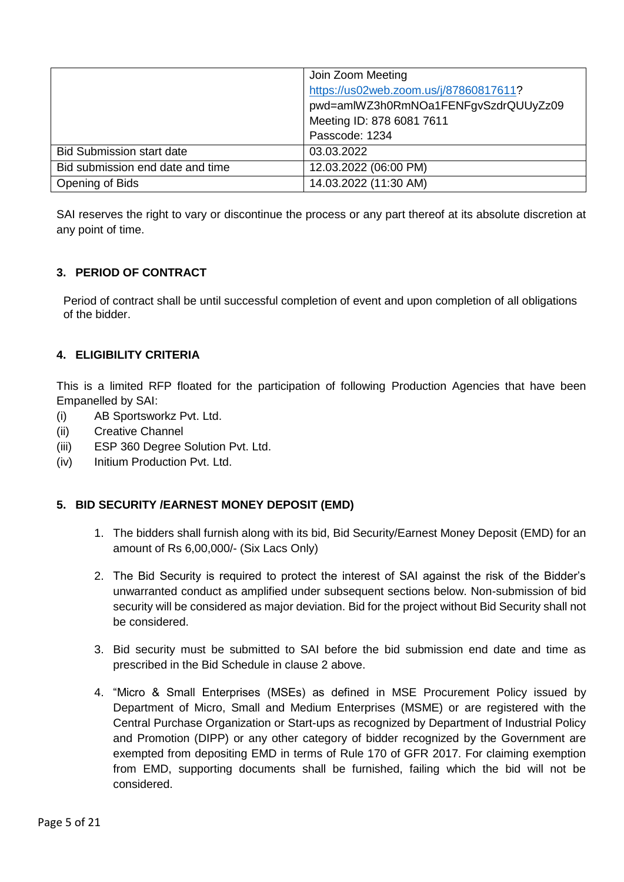|                                  | Join Zoom Meeting                      |  |  |  |  |  |  |  |
|----------------------------------|----------------------------------------|--|--|--|--|--|--|--|
|                                  | https://us02web.zoom.us/j/87860817611? |  |  |  |  |  |  |  |
|                                  | pwd=amlWZ3h0RmNOa1FENFgvSzdrQUUyZz09   |  |  |  |  |  |  |  |
|                                  | Meeting ID: 878 6081 7611              |  |  |  |  |  |  |  |
|                                  | Passcode: 1234                         |  |  |  |  |  |  |  |
| <b>Bid Submission start date</b> | 03.03.2022                             |  |  |  |  |  |  |  |
| Bid submission end date and time | 12.03.2022 (06:00 PM)                  |  |  |  |  |  |  |  |
| Opening of Bids                  | 14.03.2022 (11:30 AM)                  |  |  |  |  |  |  |  |

SAI reserves the right to vary or discontinue the process or any part thereof at its absolute discretion at any point of time.

## <span id="page-4-0"></span>**3. PERIOD OF CONTRACT**

 Period of contract shall be until successful completion of event and upon completion of all obligations of the bidder.

## <span id="page-4-1"></span>**4. ELIGIBILITY CRITERIA**

This is a limited RFP floated for the participation of following Production Agencies that have been Empanelled by SAI:

- (i) AB Sportsworkz Pvt. Ltd.
- (ii) Creative Channel
- (iii) ESP 360 Degree Solution Pvt. Ltd.
- (iv) Initium Production Pvt. Ltd.

#### <span id="page-4-2"></span>**5. BID SECURITY /EARNEST MONEY DEPOSIT (EMD)**

- 1. The bidders shall furnish along with its bid, Bid Security/Earnest Money Deposit (EMD) for an amount of Rs 6,00,000/- (Six Lacs Only)
- 2. The Bid Security is required to protect the interest of SAI against the risk of the Bidder's unwarranted conduct as amplified under subsequent sections below. Non-submission of bid security will be considered as major deviation. Bid for the project without Bid Security shall not be considered.
- 3. Bid security must be submitted to SAI before the bid submission end date and time as prescribed in the Bid Schedule in clause 2 above.
- 4. "Micro & Small Enterprises (MSEs) as defined in MSE Procurement Policy issued by Department of Micro, Small and Medium Enterprises (MSME) or are registered with the Central Purchase Organization or Start-ups as recognized by Department of Industrial Policy and Promotion (DIPP) or any other category of bidder recognized by the Government are exempted from depositing EMD in terms of Rule 170 of GFR 2017. For claiming exemption from EMD, supporting documents shall be furnished, failing which the bid will not be considered.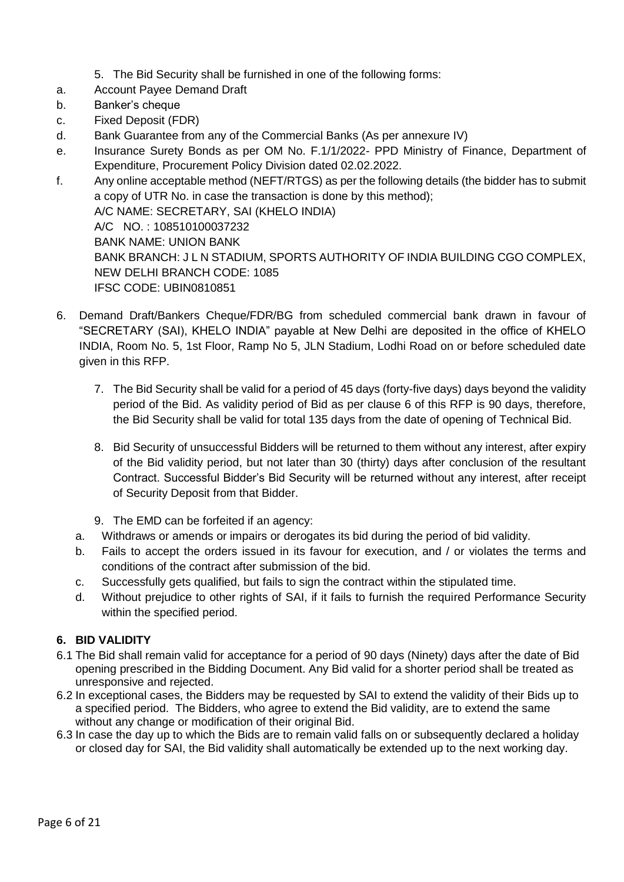- 5. The Bid Security shall be furnished in one of the following forms:
- a. Account Payee Demand Draft
- b. Banker's cheque
- c. Fixed Deposit (FDR)
- d. Bank Guarantee from any of the Commercial Banks (As per annexure IV)
- e. Insurance Surety Bonds as per OM No. F.1/1/2022- PPD Ministry of Finance, Department of Expenditure, Procurement Policy Division dated 02.02.2022.
- f. Any online acceptable method (NEFT/RTGS) as per the following details (the bidder has to submit a copy of UTR No. in case the transaction is done by this method); A/C NAME: SECRETARY, SAI (KHELO INDIA) A/C NO. : 108510100037232 BANK NAME: UNION BANK BANK BRANCH: J L N STADIUM, SPORTS AUTHORITY OF INDIA BUILDING CGO COMPLEX, NEW DELHI BRANCH CODE: 1085 IFSC CODE: UBIN0810851
- 6. Demand Draft/Bankers Cheque/FDR/BG from scheduled commercial bank drawn in favour of "SECRETARY (SAI), KHELO INDIA" payable at New Delhi are deposited in the office of KHELO INDIA, Room No. 5, 1st Floor, Ramp No 5, JLN Stadium, Lodhi Road on or before scheduled date given in this RFP.
	- 7. The Bid Security shall be valid for a period of 45 days (forty-five days) days beyond the validity period of the Bid. As validity period of Bid as per clause 6 of this RFP is 90 days, therefore, the Bid Security shall be valid for total 135 days from the date of opening of Technical Bid.
	- 8. Bid Security of unsuccessful Bidders will be returned to them without any interest, after expiry of the Bid validity period, but not later than 30 (thirty) days after conclusion of the resultant Contract. Successful Bidder's Bid Security will be returned without any interest, after receipt of Security Deposit from that Bidder.
	- 9. The EMD can be forfeited if an agency:
	- a. Withdraws or amends or impairs or derogates its bid during the period of bid validity.
	- b. Fails to accept the orders issued in its favour for execution, and / or violates the terms and conditions of the contract after submission of the bid.
	- c. Successfully gets qualified, but fails to sign the contract within the stipulated time.
	- d. Without prejudice to other rights of SAI, if it fails to furnish the required Performance Security within the specified period.

## <span id="page-5-0"></span>**6. BID VALIDITY**

- 6.1 The Bid shall remain valid for acceptance for a period of 90 days (Ninety) days after the date of Bid opening prescribed in the Bidding Document. Any Bid valid for a shorter period shall be treated as unresponsive and rejected.
- 6.2 In exceptional cases, the Bidders may be requested by SAI to extend the validity of their Bids up to a specified period. The Bidders, who agree to extend the Bid validity, are to extend the same without any change or modification of their original Bid.
- 6.3 In case the day up to which the Bids are to remain valid falls on or subsequently declared a holiday or closed day for SAI, the Bid validity shall automatically be extended up to the next working day.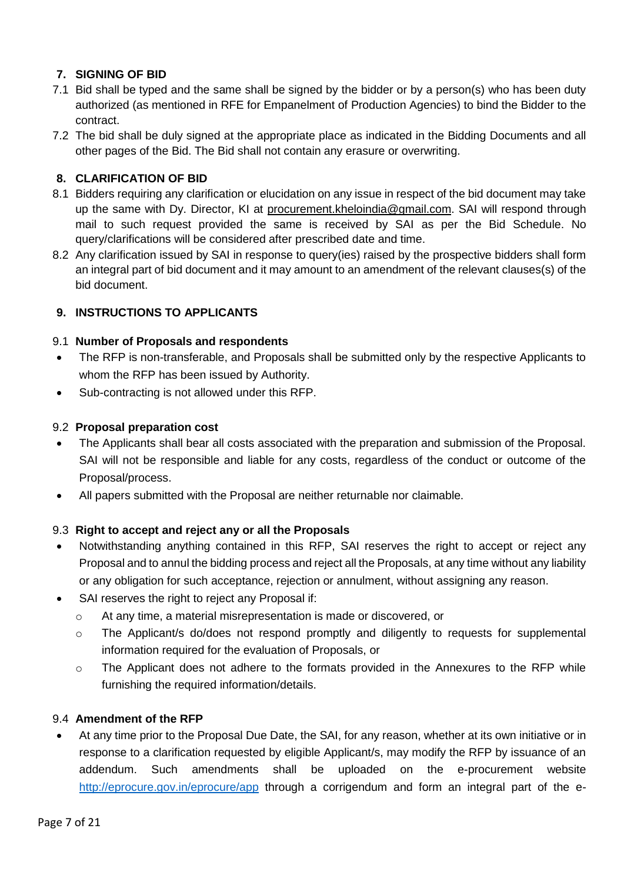# <span id="page-6-0"></span>**7. SIGNING OF BID**

- 7.1 Bid shall be typed and the same shall be signed by the bidder or by a person(s) who has been duty authorized (as mentioned in RFE for Empanelment of Production Agencies) to bind the Bidder to the contract.
- 7.2 The bid shall be duly signed at the appropriate place as indicated in the Bidding Documents and all other pages of the Bid. The Bid shall not contain any erasure or overwriting.

# <span id="page-6-1"></span>**8. CLARIFICATION OF BID**

- 8.1 Bidders requiring any clarification or elucidation on any issue in respect of the bid document may take up the same with Dy. Director, KI at procurement.kheloindia@gmail.com. SAI will respond through mail to such request provided the same is received by SAI as per the Bid Schedule. No query/clarifications will be considered after prescribed date and time.
- 8.2 Any clarification issued by SAI in response to query(ies) raised by the prospective bidders shall form an integral part of bid document and it may amount to an amendment of the relevant clauses(s) of the bid document.

# <span id="page-6-2"></span>**9. INSTRUCTIONS TO APPLICANTS**

## 9.1 **Number of Proposals and respondents**

- The RFP is non-transferable, and Proposals shall be submitted only by the respective Applicants to whom the RFP has been issued by Authority.
- Sub-contracting is not allowed under this RFP.

### 9.2 **Proposal preparation cost**

- The Applicants shall bear all costs associated with the preparation and submission of the Proposal. SAI will not be responsible and liable for any costs, regardless of the conduct or outcome of the Proposal/process.
- All papers submitted with the Proposal are neither returnable nor claimable.

## 9.3 **Right to accept and reject any or all the Proposals**

- Notwithstanding anything contained in this RFP, SAI reserves the right to accept or reject any Proposal and to annul the bidding process and reject all the Proposals, at any time without any liability or any obligation for such acceptance, rejection or annulment, without assigning any reason.
- SAI reserves the right to reject any Proposal if:
	- o At any time, a material misrepresentation is made or discovered, or
	- o The Applicant/s do/does not respond promptly and diligently to requests for supplemental information required for the evaluation of Proposals, or
	- $\circ$  The Applicant does not adhere to the formats provided in the Annexures to the RFP while furnishing the required information/details.

## 9.4 **Amendment of the RFP**

 At any time prior to the Proposal Due Date, the SAI, for any reason, whether at its own initiative or in response to a clarification requested by eligible Applicant/s, may modify the RFP by issuance of an addendum. Such amendments shall be uploaded on the e-procurement website <http://eprocure.gov.in/eprocure/app> through a corrigendum and form an integral part of the e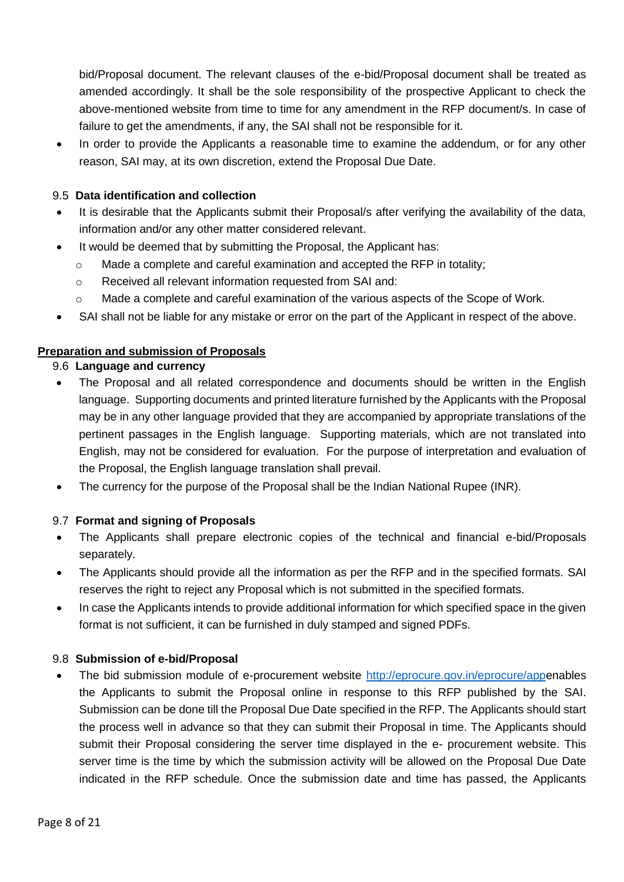bid/Proposal document. The relevant clauses of the e-bid/Proposal document shall be treated as amended accordingly. It shall be the sole responsibility of the prospective Applicant to check the above-mentioned website from time to time for any amendment in the RFP document/s. In case of failure to get the amendments, if any, the SAI shall not be responsible for it.

 In order to provide the Applicants a reasonable time to examine the addendum, or for any other reason, SAI may, at its own discretion, extend the Proposal Due Date.

### 9.5 **Data identification and collection**

- It is desirable that the Applicants submit their Proposal/s after verifying the availability of the data, information and/or any other matter considered relevant.
- It would be deemed that by submitting the Proposal, the Applicant has:
	- $\circ$  Made a complete and careful examination and accepted the RFP in totality;
	- o Received all relevant information requested from SAI and:
	- $\circ$  Made a complete and careful examination of the various aspects of the Scope of Work.
- SAI shall not be liable for any mistake or error on the part of the Applicant in respect of the above.

### **Preparation and submission of Proposals**

### 9.6 **Language and currency**

- The Proposal and all related correspondence and documents should be written in the English language. Supporting documents and printed literature furnished by the Applicants with the Proposal may be in any other language provided that they are accompanied by appropriate translations of the pertinent passages in the English language. Supporting materials, which are not translated into English, may not be considered for evaluation. For the purpose of interpretation and evaluation of the Proposal, the English language translation shall prevail.
- The currency for the purpose of the Proposal shall be the Indian National Rupee (INR).

## 9.7 **Format and signing of Proposals**

- The Applicants shall prepare electronic copies of the technical and financial e-bid/Proposals separately.
- The Applicants should provide all the information as per the RFP and in the specified formats. SAI reserves the right to reject any Proposal which is not submitted in the specified formats.
- In case the Applicants intends to provide additional information for which specified space in the given format is not sufficient, it can be furnished in duly stamped and signed PDFs.

#### 9.8 **Submission of e-bid/Proposal**

 The bid submission module of e-procurement website [http://eprocure.gov.in/eprocure/appe](http://eprocure.gov.in/eprocure/app)nables the Applicants to submit the Proposal online in response to this RFP published by the SAI. Submission can be done till the Proposal Due Date specified in the RFP. The Applicants should start the process well in advance so that they can submit their Proposal in time. The Applicants should submit their Proposal considering the server time displayed in the e- procurement website. This server time is the time by which the submission activity will be allowed on the Proposal Due Date indicated in the RFP schedule. Once the submission date and time has passed, the Applicants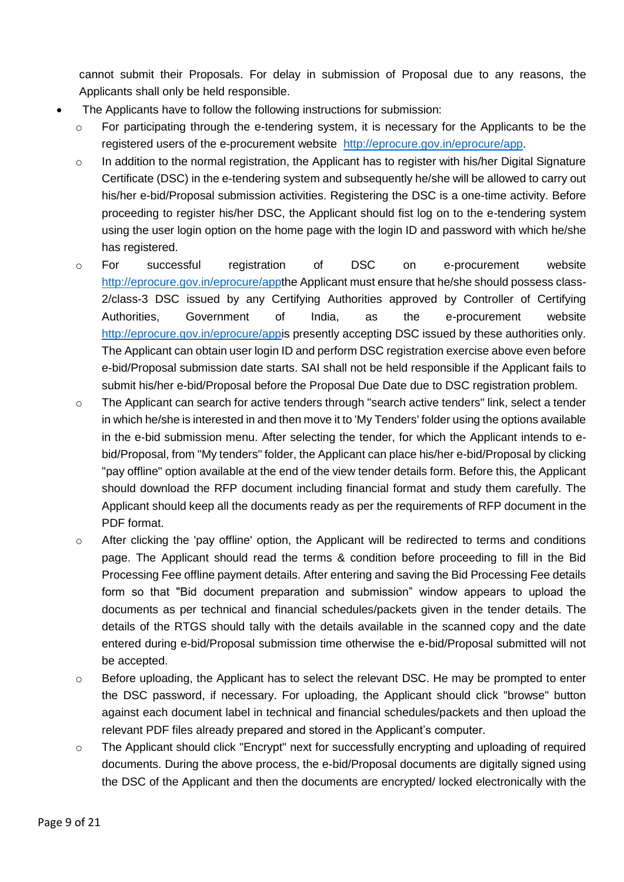cannot submit their Proposals. For delay in submission of Proposal due to any reasons, the Applicants shall only be held responsible.

- The Applicants have to follow the following instructions for submission:
	- o For participating through the e-tendering system, it is necessary for the Applicants to be the registered users of the e-procurement website [http://eprocure.gov.in/eprocure/app.](http://eprocure.gov.in/eprocure/app)
	- $\circ$  In addition to the normal registration, the Applicant has to register with his/her Digital Signature Certificate (DSC) in the e-tendering system and subsequently he/she will be allowed to carry out his/her e-bid/Proposal submission activities. Registering the DSC is a one-time activity. Before proceeding to register his/her DSC, the Applicant should fist log on to the e-tendering system using the user login option on the home page with the login ID and password with which he/she has registered.
	- o For successful registration of DSC on e-procurement website [http://eprocure.gov.in/eprocure/appt](http://eprocure.gov.in/eprocure/app)he Applicant must ensure that he/she should possess class-2/class-3 DSC issued by any Certifying Authorities approved by Controller of Certifying Authorities, Government of India, as the e-procurement website [http://eprocure.gov.in/eprocure/appi](http://eprocure.gov.in/eprocure/app)s presently accepting DSC issued by these authorities only. The Applicant can obtain user login ID and perform DSC registration exercise above even before e-bid/Proposal submission date starts. SAI shall not be held responsible if the Applicant fails to submit his/her e-bid/Proposal before the Proposal Due Date due to DSC registration problem.
	- $\circ$  The Applicant can search for active tenders through "search active tenders" link, select a tender in which he/she is interested in and then move it to 'My Tenders' folder using the options available in the e-bid submission menu. After selecting the tender, for which the Applicant intends to ebid/Proposal, from "My tenders" folder, the Applicant can place his/her e-bid/Proposal by clicking "pay offline" option available at the end of the view tender details form. Before this, the Applicant should download the RFP document including financial format and study them carefully. The Applicant should keep all the documents ready as per the requirements of RFP document in the PDF format.
	- $\circ$  After clicking the 'pay offline' option, the Applicant will be redirected to terms and conditions page. The Applicant should read the terms & condition before proceeding to fill in the Bid Processing Fee offline payment details. After entering and saving the Bid Processing Fee details form so that "Bid document preparation and submission" window appears to upload the documents as per technical and financial schedules/packets given in the tender details. The details of the RTGS should tally with the details available in the scanned copy and the date entered during e-bid/Proposal submission time otherwise the e-bid/Proposal submitted will not be accepted.
	- $\circ$  Before uploading, the Applicant has to select the relevant DSC. He may be prompted to enter the DSC password, if necessary. For uploading, the Applicant should click "browse" button against each document label in technical and financial schedules/packets and then upload the relevant PDF files already prepared and stored in the Applicant's computer.
	- o The Applicant should click "Encrypt" next for successfully encrypting and uploading of required documents. During the above process, the e-bid/Proposal documents are digitally signed using the DSC of the Applicant and then the documents are encrypted/ locked electronically with the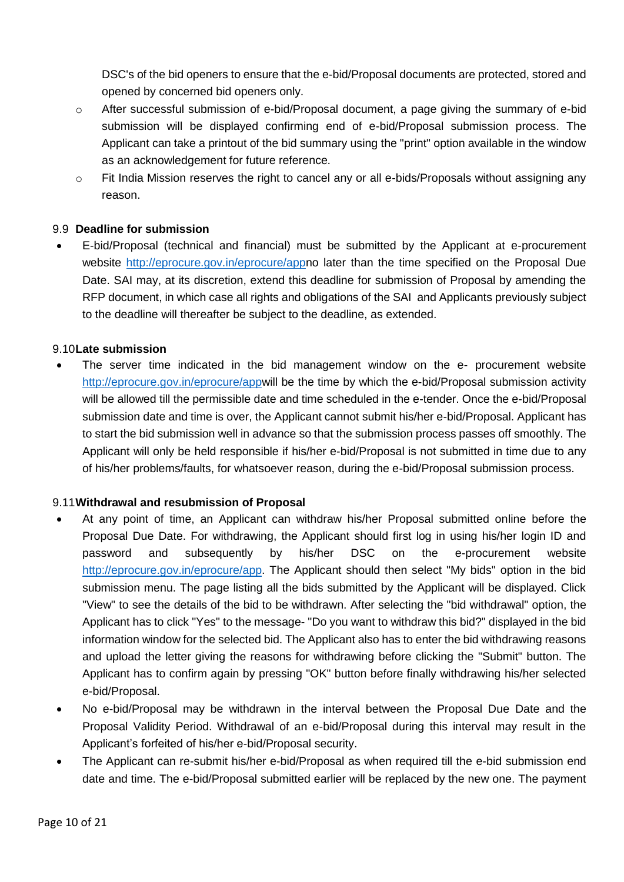DSC's of the bid openers to ensure that the e-bid/Proposal documents are protected, stored and opened by concerned bid openers only.

- $\circ$  After successful submission of e-bid/Proposal document, a page giving the summary of e-bid submission will be displayed confirming end of e-bid/Proposal submission process. The Applicant can take a printout of the bid summary using the "print" option available in the window as an acknowledgement for future reference.
- o Fit India Mission reserves the right to cancel any or all e-bids/Proposals without assigning any reason.

### 9.9 **Deadline for submission**

 E-bid/Proposal (technical and financial) must be submitted by the Applicant at e-procurement website [http://eprocure.gov.in/eprocure/appn](http://eprocure.gov.in/eprocure/app)o later than the time specified on the Proposal Due Date. SAI may, at its discretion, extend this deadline for submission of Proposal by amending the RFP document, in which case all rights and obligations of the SAI and Applicants previously subject to the deadline will thereafter be subject to the deadline, as extended.

#### 9.10**Late submission**

 The server time indicated in the bid management window on the e- procurement website [http://eprocure.gov.in/eprocure/appw](http://eprocure.gov.in/eprocure/app)ill be the time by which the e-bid/Proposal submission activity will be allowed till the permissible date and time scheduled in the e-tender. Once the e-bid/Proposal submission date and time is over, the Applicant cannot submit his/her e-bid/Proposal. Applicant has to start the bid submission well in advance so that the submission process passes off smoothly. The Applicant will only be held responsible if his/her e-bid/Proposal is not submitted in time due to any of his/her problems/faults, for whatsoever reason, during the e-bid/Proposal submission process.

#### 9.11**Withdrawal and resubmission of Proposal**

- At any point of time, an Applicant can withdraw his/her Proposal submitted online before the Proposal Due Date. For withdrawing, the Applicant should first log in using his/her login ID and password and subsequently by his/her DSC on the e-procurement website [http://eprocure.gov.in/eprocure/app.](http://eprocure.gov.in/eprocure/app) The Applicant should then select "My bids" option in the bid submission menu. The page listing all the bids submitted by the Applicant will be displayed. Click "View" to see the details of the bid to be withdrawn. After selecting the "bid withdrawal" option, the Applicant has to click "Yes" to the message- "Do you want to withdraw this bid?" displayed in the bid information window for the selected bid. The Applicant also has to enter the bid withdrawing reasons and upload the letter giving the reasons for withdrawing before clicking the "Submit" button. The Applicant has to confirm again by pressing "OK" button before finally withdrawing his/her selected e-bid/Proposal.
- No e-bid/Proposal may be withdrawn in the interval between the Proposal Due Date and the Proposal Validity Period. Withdrawal of an e-bid/Proposal during this interval may result in the Applicant's forfeited of his/her e-bid/Proposal security.
- The Applicant can re-submit his/her e-bid/Proposal as when required till the e-bid submission end date and time. The e-bid/Proposal submitted earlier will be replaced by the new one. The payment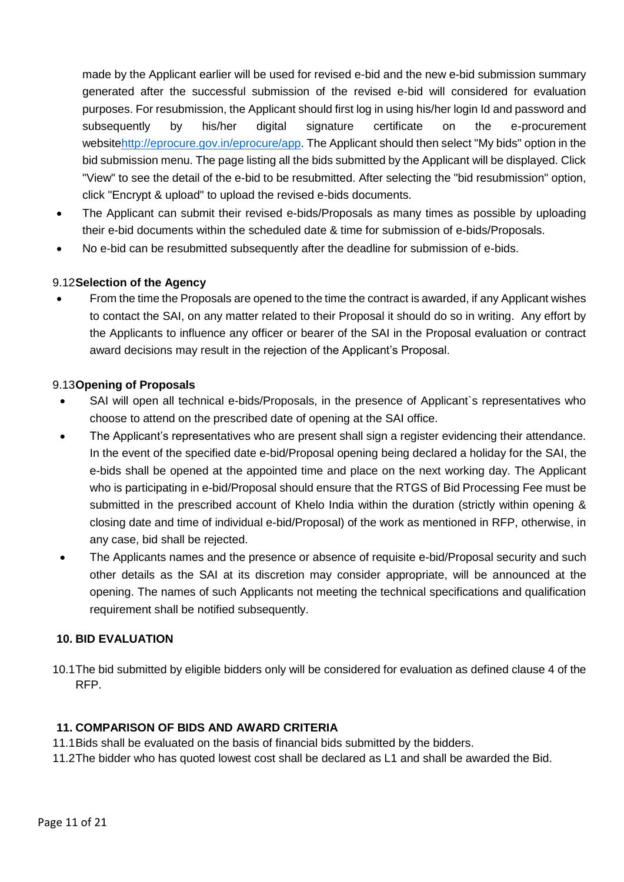made by the Applicant earlier will be used for revised e-bid and the new e-bid submission summary generated after the successful submission of the revised e-bid will considered for evaluation purposes. For resubmission, the Applicant should first log in using his/her login Id and password and subsequently by his/her digital signature certificate on the e-procurement websit[ehttp://eprocure.gov.in/eprocure/app.](http://eprocure.gov.in/eprocure/app) The Applicant should then select "My bids" option in the bid submission menu. The page listing all the bids submitted by the Applicant will be displayed. Click "View" to see the detail of the e-bid to be resubmitted. After selecting the "bid resubmission" option, click "Encrypt & upload" to upload the revised e-bids documents.

- The Applicant can submit their revised e-bids/Proposals as many times as possible by uploading their e-bid documents within the scheduled date & time for submission of e-bids/Proposals.
- No e-bid can be resubmitted subsequently after the deadline for submission of e-bids.

## 9.12**Selection of the Agency**

 From the time the Proposals are opened to the time the contract is awarded, if any Applicant wishes to contact the SAI, on any matter related to their Proposal it should do so in writing. Any effort by the Applicants to influence any officer or bearer of the SAI in the Proposal evaluation or contract award decisions may result in the rejection of the Applicant's Proposal.

### 9.13**Opening of Proposals**

- SAI will open all technical e-bids/Proposals, in the presence of Applicant`s representatives who choose to attend on the prescribed date of opening at the SAI office.
- The Applicant's representatives who are present shall sign a register evidencing their attendance. In the event of the specified date e-bid/Proposal opening being declared a holiday for the SAI, the e-bids shall be opened at the appointed time and place on the next working day. The Applicant who is participating in e-bid/Proposal should ensure that the RTGS of Bid Processing Fee must be submitted in the prescribed account of Khelo India within the duration (strictly within opening & closing date and time of individual e-bid/Proposal) of the work as mentioned in RFP, otherwise, in any case, bid shall be rejected.
- The Applicants names and the presence or absence of requisite e-bid/Proposal security and such other details as the SAI at its discretion may consider appropriate, will be announced at the opening. The names of such Applicants not meeting the technical specifications and qualification requirement shall be notified subsequently.

#### <span id="page-10-0"></span>**10. BID EVALUATION**

10.1The bid submitted by eligible bidders only will be considered for evaluation as defined clause 4 of the RFP.

#### <span id="page-10-1"></span>**11. COMPARISON OF BIDS AND AWARD CRITERIA**

- 11.1Bids shall be evaluated on the basis of financial bids submitted by the bidders.
- 11.2The bidder who has quoted lowest cost shall be declared as L1 and shall be awarded the Bid.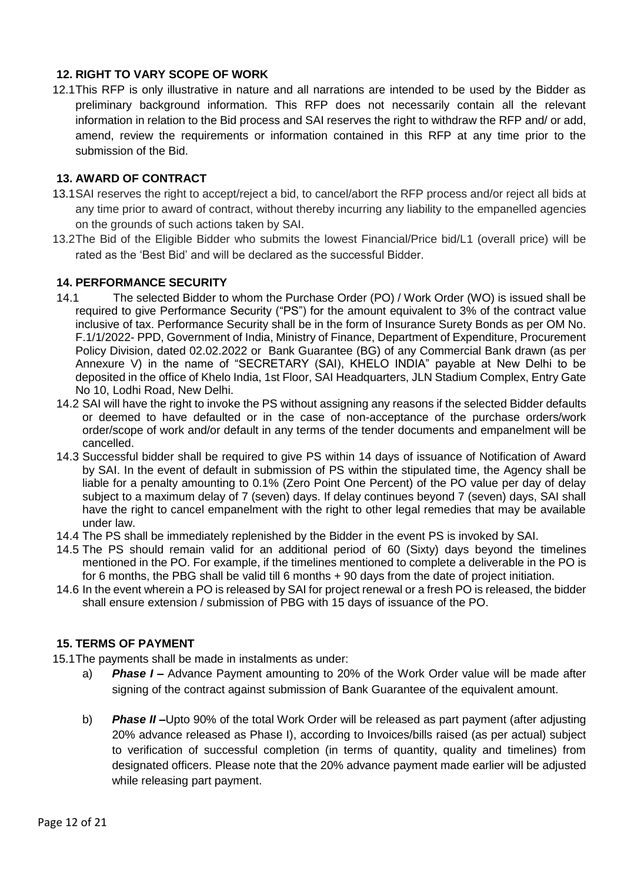### <span id="page-11-0"></span>**12. RIGHT TO VARY SCOPE OF WORK**

12.1This RFP is only illustrative in nature and all narrations are intended to be used by the Bidder as preliminary background information. This RFP does not necessarily contain all the relevant information in relation to the Bid process and SAI reserves the right to withdraw the RFP and/ or add, amend, review the requirements or information contained in this RFP at any time prior to the submission of the Bid.

### <span id="page-11-1"></span>**13. AWARD OF CONTRACT**

- 13.1SAI reserves the right to accept/reject a bid, to cancel/abort the RFP process and/or reject all bids at any time prior to award of contract, without thereby incurring any liability to the empanelled agencies on the grounds of such actions taken by SAI.
- 13.2The Bid of the Eligible Bidder who submits the lowest Financial/Price bid/L1 (overall price) will be rated as the 'Best Bid' and will be declared as the successful Bidder.

### <span id="page-11-2"></span>**14. PERFORMANCE SECURITY**

- 14.1 The selected Bidder to whom the Purchase Order (PO) / Work Order (WO) is issued shall be required to give Performance Security ("PS") for the amount equivalent to 3% of the contract value inclusive of tax. Performance Security shall be in the form of Insurance Surety Bonds as per OM No. F.1/1/2022- PPD, Government of India, Ministry of Finance, Department of Expenditure, Procurement Policy Division, dated 02.02.2022 or Bank Guarantee (BG) of any Commercial Bank drawn (as per Annexure V) in the name of "SECRETARY (SAI), KHELO INDIA" payable at New Delhi to be deposited in the office of Khelo India, 1st Floor, SAI Headquarters, JLN Stadium Complex, Entry Gate No 10, Lodhi Road, New Delhi.
- 14.2 SAI will have the right to invoke the PS without assigning any reasons if the selected Bidder defaults or deemed to have defaulted or in the case of non-acceptance of the purchase orders/work order/scope of work and/or default in any terms of the tender documents and empanelment will be cancelled.
- 14.3 Successful bidder shall be required to give PS within 14 days of issuance of Notification of Award by SAI. In the event of default in submission of PS within the stipulated time, the Agency shall be liable for a penalty amounting to 0.1% (Zero Point One Percent) of the PO value per day of delay subject to a maximum delay of 7 (seven) days. If delay continues beyond 7 (seven) days, SAI shall have the right to cancel empanelment with the right to other legal remedies that may be available under law.
- 14.4 The PS shall be immediately replenished by the Bidder in the event PS is invoked by SAI.
- 14.5 The PS should remain valid for an additional period of 60 (Sixty) days beyond the timelines mentioned in the PO. For example, if the timelines mentioned to complete a deliverable in the PO is for 6 months, the PBG shall be valid till 6 months + 90 days from the date of project initiation.
- 14.6 In the event wherein a PO is released by SAI for project renewal or a fresh PO is released, the bidder shall ensure extension / submission of PBG with 15 days of issuance of the PO.

### <span id="page-11-3"></span>**15. TERMS OF PAYMENT**

- 15.1The payments shall be made in instalments as under:
	- a) *Phase I* **–** Advance Payment amounting to 20% of the Work Order value will be made after signing of the contract against submission of Bank Guarantee of the equivalent amount.
	- b) *Phase II* **–**Upto 90% of the total Work Order will be released as part payment (after adjusting 20% advance released as Phase I), according to Invoices/bills raised (as per actual) subject to verification of successful completion (in terms of quantity, quality and timelines) from designated officers. Please note that the 20% advance payment made earlier will be adjusted while releasing part payment.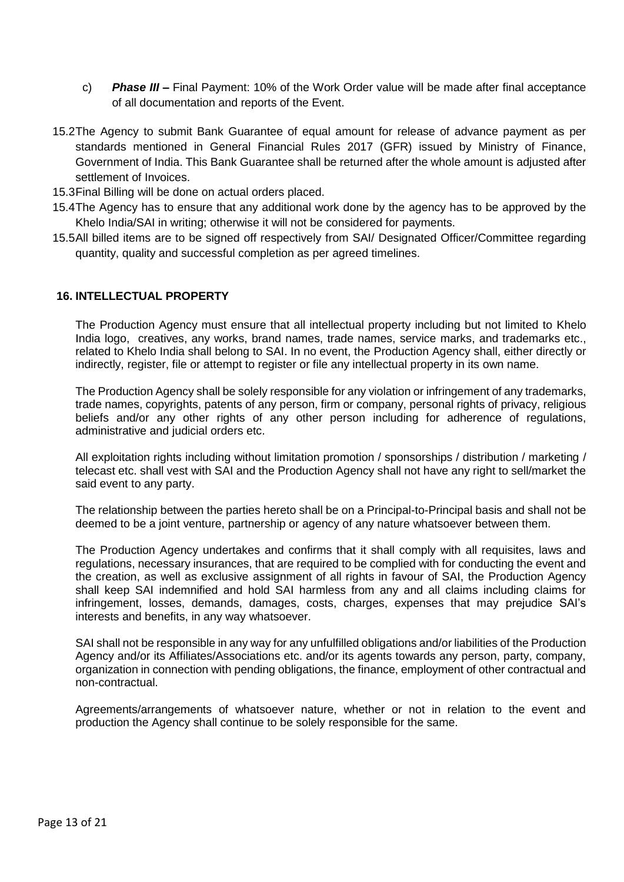- c) *Phase III* **–** Final Payment: 10% of the Work Order value will be made after final acceptance of all documentation and reports of the Event.
- 15.2The Agency to submit Bank Guarantee of equal amount for release of advance payment as per standards mentioned in General Financial Rules 2017 (GFR) issued by Ministry of Finance, Government of India. This Bank Guarantee shall be returned after the whole amount is adjusted after settlement of Invoices.
- 15.3Final Billing will be done on actual orders placed.
- 15.4The Agency has to ensure that any additional work done by the agency has to be approved by the Khelo India/SAI in writing; otherwise it will not be considered for payments.
- 15.5All billed items are to be signed off respectively from SAI/ Designated Officer/Committee regarding quantity, quality and successful completion as per agreed timelines.

### <span id="page-12-0"></span>**16. INTELLECTUAL PROPERTY**

The Production Agency must ensure that all intellectual property including but not limited to Khelo India logo, creatives, any works, brand names, trade names, service marks, and trademarks etc., related to Khelo India shall belong to SAI. In no event, the Production Agency shall, either directly or indirectly, register, file or attempt to register or file any intellectual property in its own name.

The Production Agency shall be solely responsible for any violation or infringement of any trademarks, trade names, copyrights, patents of any person, firm or company, personal rights of privacy, religious beliefs and/or any other rights of any other person including for adherence of regulations, administrative and judicial orders etc.

All exploitation rights including without limitation promotion / sponsorships / distribution / marketing / telecast etc. shall vest with SAI and the Production Agency shall not have any right to sell/market the said event to any party.

The relationship between the parties hereto shall be on a Principal-to-Principal basis and shall not be deemed to be a joint venture, partnership or agency of any nature whatsoever between them.

The Production Agency undertakes and confirms that it shall comply with all requisites, laws and regulations, necessary insurances, that are required to be complied with for conducting the event and the creation, as well as exclusive assignment of all rights in favour of SAI, the Production Agency shall keep SAI indemnified and hold SAI harmless from any and all claims including claims for infringement, losses, demands, damages, costs, charges, expenses that may prejudice SAI's interests and benefits, in any way whatsoever.

SAI shall not be responsible in any way for any unfulfilled obligations and/or liabilities of the Production Agency and/or its Affiliates/Associations etc. and/or its agents towards any person, party, company, organization in connection with pending obligations, the finance, employment of other contractual and non-contractual.

Agreements/arrangements of whatsoever nature, whether or not in relation to the event and production the Agency shall continue to be solely responsible for the same.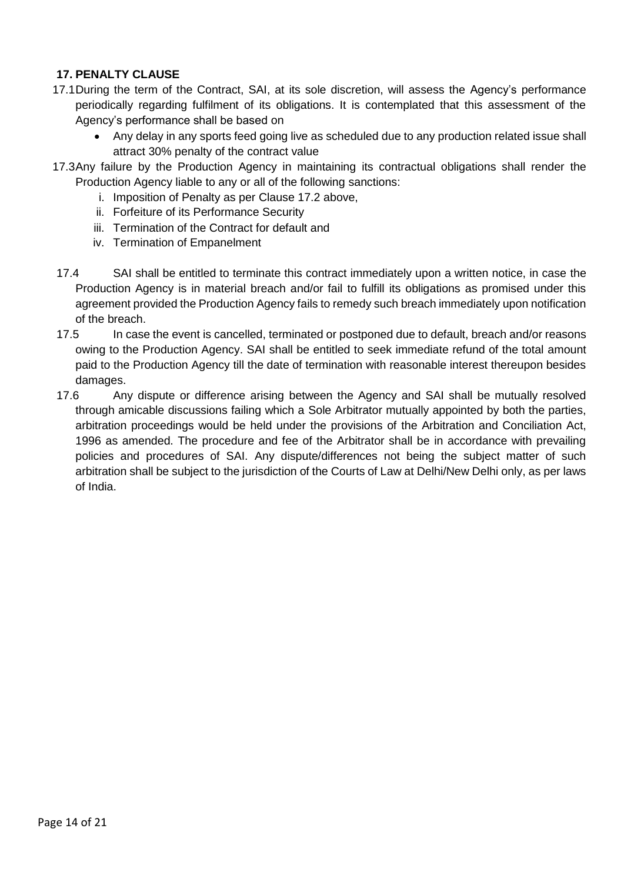# <span id="page-13-0"></span>**17. PENALTY CLAUSE**

- 17.1During the term of the Contract, SAI, at its sole discretion, will assess the Agency's performance periodically regarding fulfilment of its obligations. It is contemplated that this assessment of the Agency's performance shall be based on
	- Any delay in any sports feed going live as scheduled due to any production related issue shall attract 30% penalty of the contract value
- 17.3Any failure by the Production Agency in maintaining its contractual obligations shall render the Production Agency liable to any or all of the following sanctions:
	- i. Imposition of Penalty as per Clause 17.2 above,
	- ii. Forfeiture of its Performance Security
	- iii. Termination of the Contract for default and
	- iv. Termination of Empanelment
- 17.4 SAI shall be entitled to terminate this contract immediately upon a written notice, in case the Production Agency is in material breach and/or fail to fulfill its obligations as promised under this agreement provided the Production Agency fails to remedy such breach immediately upon notification of the breach.
- 17.5 In case the event is cancelled, terminated or postponed due to default, breach and/or reasons owing to the Production Agency. SAI shall be entitled to seek immediate refund of the total amount paid to the Production Agency till the date of termination with reasonable interest thereupon besides damages.
- 17.6 Any dispute or difference arising between the Agency and SAI shall be mutually resolved through amicable discussions failing which a Sole Arbitrator mutually appointed by both the parties, arbitration proceedings would be held under the provisions of the Arbitration and Conciliation Act, 1996 as amended. The procedure and fee of the Arbitrator shall be in accordance with prevailing policies and procedures of SAI. Any dispute/differences not being the subject matter of such arbitration shall be subject to the jurisdiction of the Courts of Law at Delhi/New Delhi only, as per laws of India.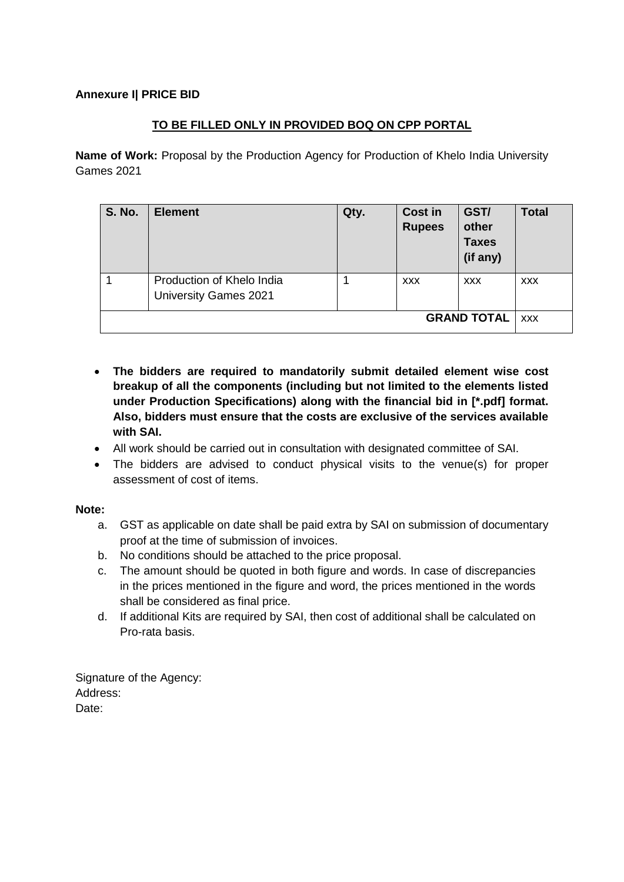## <span id="page-14-0"></span>**Annexure I| PRICE BID**

## **TO BE FILLED ONLY IN PROVIDED BOQ ON CPP PORTAL**

**Name of Work:** Proposal by the Production Agency for Production of Khelo India University Games 2021

| <b>S. No.</b>      | <b>Element</b>                                            | Qty. | <b>Cost in</b><br><b>Rupees</b> | GST/<br>other<br><b>Taxes</b><br>(if any) | <b>Total</b> |  |  |  |
|--------------------|-----------------------------------------------------------|------|---------------------------------|-------------------------------------------|--------------|--|--|--|
|                    | Production of Khelo India<br><b>University Games 2021</b> |      | <b>XXX</b>                      | <b>XXX</b>                                | <b>XXX</b>   |  |  |  |
| <b>GRAND TOTAL</b> |                                                           |      |                                 |                                           |              |  |  |  |

- **The bidders are required to mandatorily submit detailed element wise cost breakup of all the components (including but not limited to the elements listed under Production Specifications) along with the financial bid in [\*.pdf] format. Also, bidders must ensure that the costs are exclusive of the services available with SAI.**
- All work should be carried out in consultation with designated committee of SAI.
- The bidders are advised to conduct physical visits to the venue(s) for proper assessment of cost of items.

**Note:**

- a. GST as applicable on date shall be paid extra by SAI on submission of documentary proof at the time of submission of invoices.
- b. No conditions should be attached to the price proposal.
- c. The amount should be quoted in both figure and words. In case of discrepancies in the prices mentioned in the figure and word, the prices mentioned in the words shall be considered as final price.
- d. If additional Kits are required by SAI, then cost of additional shall be calculated on Pro-rata basis.

Signature of the Agency: Address: Date: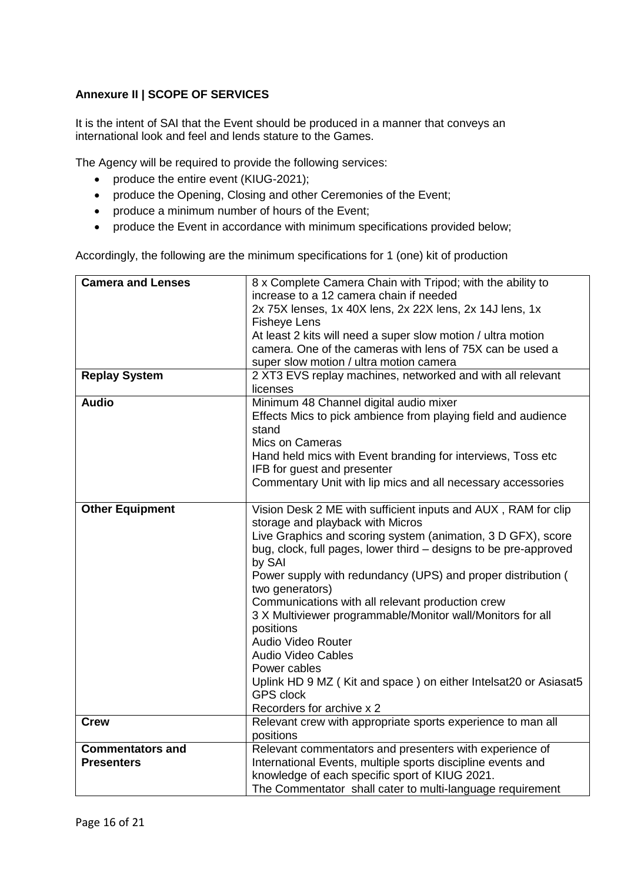# <span id="page-15-0"></span>**Annexure II | SCOPE OF SERVICES**

It is the intent of SAI that the Event should be produced in a manner that conveys an international look and feel and lends stature to the Games.

The Agency will be required to provide the following services:

- produce the entire event (KIUG-2021);
- produce the Opening, Closing and other Ceremonies of the Event;
- produce a minimum number of hours of the Event;
- produce the Event in accordance with minimum specifications provided below;

Accordingly, the following are the minimum specifications for 1 (one) kit of production

| <b>Camera and Lenses</b> | 8 x Complete Camera Chain with Tripod; with the ability to       |  |  |  |  |  |  |
|--------------------------|------------------------------------------------------------------|--|--|--|--|--|--|
|                          | increase to a 12 camera chain if needed                          |  |  |  |  |  |  |
|                          | 2x 75X lenses, 1x 40X lens, 2x 22X lens, 2x 14J lens, 1x         |  |  |  |  |  |  |
|                          | <b>Fisheye Lens</b>                                              |  |  |  |  |  |  |
|                          | At least 2 kits will need a super slow motion / ultra motion     |  |  |  |  |  |  |
|                          | camera. One of the cameras with lens of 75X can be used a        |  |  |  |  |  |  |
|                          | super slow motion / ultra motion camera                          |  |  |  |  |  |  |
| <b>Replay System</b>     | 2 XT3 EVS replay machines, networked and with all relevant       |  |  |  |  |  |  |
|                          | licenses                                                         |  |  |  |  |  |  |
| <b>Audio</b>             | Minimum 48 Channel digital audio mixer                           |  |  |  |  |  |  |
|                          | Effects Mics to pick ambience from playing field and audience    |  |  |  |  |  |  |
|                          | stand                                                            |  |  |  |  |  |  |
|                          | Mics on Cameras                                                  |  |  |  |  |  |  |
|                          | Hand held mics with Event branding for interviews, Toss etc      |  |  |  |  |  |  |
|                          | IFB for guest and presenter                                      |  |  |  |  |  |  |
|                          | Commentary Unit with lip mics and all necessary accessories      |  |  |  |  |  |  |
|                          |                                                                  |  |  |  |  |  |  |
| <b>Other Equipment</b>   | Vision Desk 2 ME with sufficient inputs and AUX, RAM for clip    |  |  |  |  |  |  |
|                          | storage and playback with Micros                                 |  |  |  |  |  |  |
|                          | Live Graphics and scoring system (animation, 3 D GFX), score     |  |  |  |  |  |  |
|                          | bug, clock, full pages, lower third - designs to be pre-approved |  |  |  |  |  |  |
|                          | by SAI                                                           |  |  |  |  |  |  |
|                          | Power supply with redundancy (UPS) and proper distribution (     |  |  |  |  |  |  |
|                          | two generators)                                                  |  |  |  |  |  |  |
|                          | Communications with all relevant production crew                 |  |  |  |  |  |  |
|                          | 3 X Multiviewer programmable/Monitor wall/Monitors for all       |  |  |  |  |  |  |
|                          | positions                                                        |  |  |  |  |  |  |
|                          | Audio Video Router                                               |  |  |  |  |  |  |
|                          | <b>Audio Video Cables</b>                                        |  |  |  |  |  |  |
|                          | Power cables                                                     |  |  |  |  |  |  |
|                          | Uplink HD 9 MZ (Kit and space) on either Intelsat20 or Asiasat5  |  |  |  |  |  |  |
|                          | <b>GPS clock</b>                                                 |  |  |  |  |  |  |
|                          | Recorders for archive x 2                                        |  |  |  |  |  |  |
| <b>Crew</b>              | Relevant crew with appropriate sports experience to man all      |  |  |  |  |  |  |
|                          | positions                                                        |  |  |  |  |  |  |
| <b>Commentators and</b>  | Relevant commentators and presenters with experience of          |  |  |  |  |  |  |
| <b>Presenters</b>        | International Events, multiple sports discipline events and      |  |  |  |  |  |  |
|                          | knowledge of each specific sport of KIUG 2021.                   |  |  |  |  |  |  |
|                          | The Commentator shall cater to multi-language requirement        |  |  |  |  |  |  |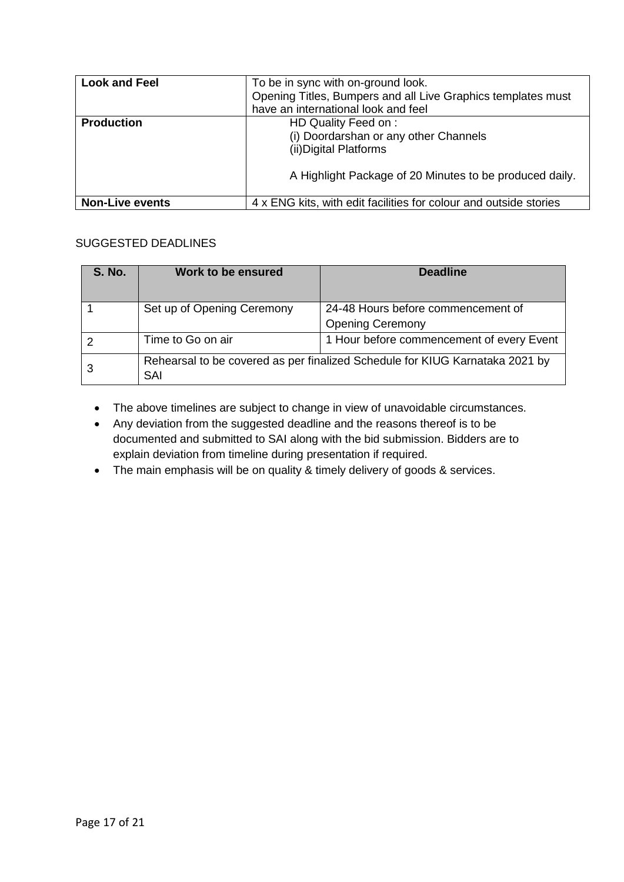| <b>Look and Feel</b>   | To be in sync with on-ground look.<br>Opening Titles, Bumpers and all Live Graphics templates must<br>have an international look and feel          |
|------------------------|----------------------------------------------------------------------------------------------------------------------------------------------------|
| <b>Production</b>      | HD Quality Feed on :<br>(i) Doordarshan or any other Channels<br>(ii) Digital Platforms<br>A Highlight Package of 20 Minutes to be produced daily. |
| <b>Non-Live events</b> | 4 x ENG kits, with edit facilities for colour and outside stories                                                                                  |

### SUGGESTED DEADLINES

| <b>S. No.</b> | Work to be ensured                                                                  | <b>Deadline</b>                                               |  |  |  |  |  |
|---------------|-------------------------------------------------------------------------------------|---------------------------------------------------------------|--|--|--|--|--|
|               | Set up of Opening Ceremony                                                          | 24-48 Hours before commencement of<br><b>Opening Ceremony</b> |  |  |  |  |  |
|               | Time to Go on air                                                                   | 1 Hour before commencement of every Event                     |  |  |  |  |  |
|               | Rehearsal to be covered as per finalized Schedule for KIUG Karnataka 2021 by<br>SAI |                                                               |  |  |  |  |  |

- The above timelines are subject to change in view of unavoidable circumstances.
- Any deviation from the suggested deadline and the reasons thereof is to be documented and submitted to SAI along with the bid submission. Bidders are to explain deviation from timeline during presentation if required.
- The main emphasis will be on quality & timely delivery of goods & services.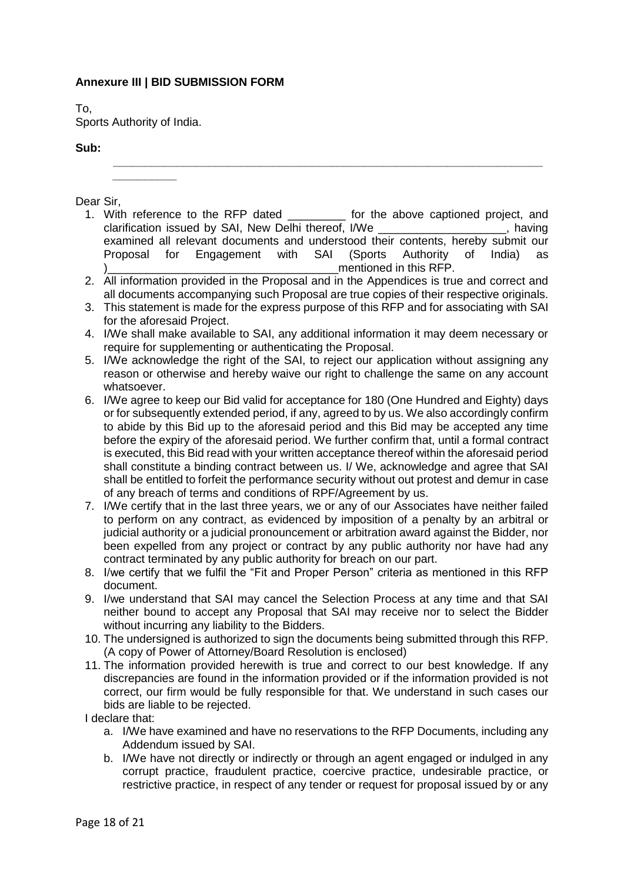### <span id="page-17-0"></span>**Annexure III | BID SUBMISSION FORM**

To,

Sports Authority of India.

**\_\_\_\_\_\_\_\_\_\_**

#### **Sub:**

Dear Sir,

1. With reference to the RFP dated a set of the above captioned project, and clarification issued by SAI, New Delhi thereof, I/We examined all relevant documents and understood their contents, hereby submit our Proposal for Engagement with SAI (Sports Authority of India) as mentioned in this RFP.

**\_\_\_\_\_\_\_\_\_\_\_\_\_\_\_\_\_\_\_\_\_\_\_\_\_\_\_\_\_\_\_\_\_\_\_\_\_\_\_\_\_\_\_\_\_\_\_\_\_\_\_\_\_\_\_\_\_\_\_\_\_\_\_\_\_\_\_**

- 2. All information provided in the Proposal and in the Appendices is true and correct and all documents accompanying such Proposal are true copies of their respective originals.
- 3. This statement is made for the express purpose of this RFP and for associating with SAI for the aforesaid Project.
- 4. I/We shall make available to SAI, any additional information it may deem necessary or require for supplementing or authenticating the Proposal.
- 5. I/We acknowledge the right of the SAI, to reject our application without assigning any reason or otherwise and hereby waive our right to challenge the same on any account whatsoever.
- 6. I/We agree to keep our Bid valid for acceptance for 180 (One Hundred and Eighty) days or for subsequently extended period, if any, agreed to by us. We also accordingly confirm to abide by this Bid up to the aforesaid period and this Bid may be accepted any time before the expiry of the aforesaid period. We further confirm that, until a formal contract is executed, this Bid read with your written acceptance thereof within the aforesaid period shall constitute a binding contract between us. I/ We, acknowledge and agree that SAI shall be entitled to forfeit the performance security without out protest and demur in case of any breach of terms and conditions of RPF/Agreement by us.
- 7. I/We certify that in the last three years, we or any of our Associates have neither failed to perform on any contract, as evidenced by imposition of a penalty by an arbitral or judicial authority or a judicial pronouncement or arbitration award against the Bidder, nor been expelled from any project or contract by any public authority nor have had any contract terminated by any public authority for breach on our part.
- 8. I/we certify that we fulfil the "Fit and Proper Person" criteria as mentioned in this RFP document.
- 9. I/we understand that SAI may cancel the Selection Process at any time and that SAI neither bound to accept any Proposal that SAI may receive nor to select the Bidder without incurring any liability to the Bidders.
- 10. The undersigned is authorized to sign the documents being submitted through this RFP. (A copy of Power of Attorney/Board Resolution is enclosed)
- 11. The information provided herewith is true and correct to our best knowledge. If any discrepancies are found in the information provided or if the information provided is not correct, our firm would be fully responsible for that. We understand in such cases our bids are liable to be rejected.

I declare that:

- a. I/We have examined and have no reservations to the RFP Documents, including any Addendum issued by SAI.
- b. I/We have not directly or indirectly or through an agent engaged or indulged in any corrupt practice, fraudulent practice, coercive practice, undesirable practice, or restrictive practice, in respect of any tender or request for proposal issued by or any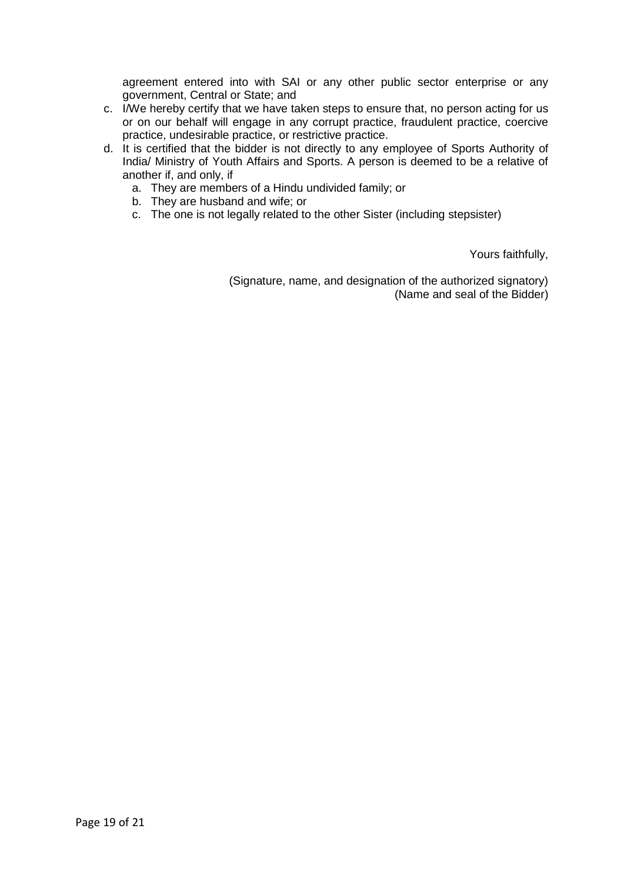agreement entered into with SAI or any other public sector enterprise or any government, Central or State; and

- c. I/We hereby certify that we have taken steps to ensure that, no person acting for us or on our behalf will engage in any corrupt practice, fraudulent practice, coercive practice, undesirable practice, or restrictive practice.
- d. It is certified that the bidder is not directly to any employee of Sports Authority of India/ Ministry of Youth Affairs and Sports. A person is deemed to be a relative of another if, and only, if
	- a. They are members of a Hindu undivided family; or
	- b. They are husband and wife; or
	- c. The one is not legally related to the other Sister (including stepsister)

Yours faithfully,

(Signature, name, and designation of the authorized signatory) (Name and seal of the Bidder)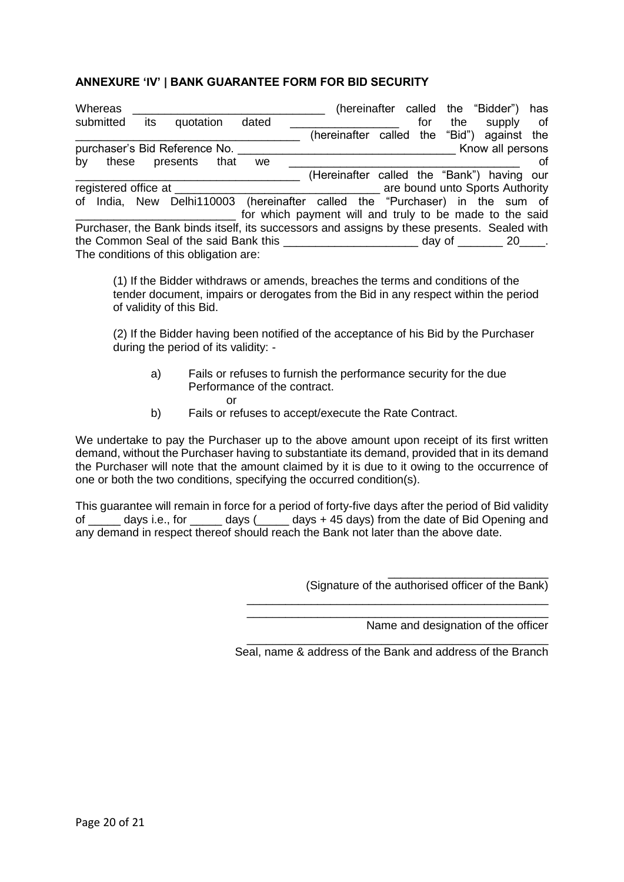### <span id="page-19-0"></span>**ANNEXURE 'IV' | BANK GUARANTEE FORM FOR BID SECURITY**

|                                                                                             | <b>Whereas</b>                         |     |                               |       |                                                                             |  |                                            |  | (hereinafter called |     |  |                                 | the "Bidder")<br>supply | has |
|---------------------------------------------------------------------------------------------|----------------------------------------|-----|-------------------------------|-------|-----------------------------------------------------------------------------|--|--------------------------------------------|--|---------------------|-----|--|---------------------------------|-------------------------|-----|
| submitted                                                                                   |                                        | its | quotation                     | dated |                                                                             |  |                                            |  | for                 | the |  | of                              |                         |     |
|                                                                                             |                                        |     |                               |       |                                                                             |  | (hereinafter called the                    |  |                     |     |  |                                 | "Bid") against the      |     |
|                                                                                             |                                        |     | purchaser's Bid Reference No. |       |                                                                             |  |                                            |  |                     |     |  |                                 | Know all persons        |     |
| by                                                                                          |                                        |     | these presents                | that  | we                                                                          |  |                                            |  |                     |     |  |                                 |                         | οf  |
|                                                                                             |                                        |     |                               |       |                                                                             |  | (Hereinafter called the "Bank") having our |  |                     |     |  |                                 |                         |     |
| registered office at                                                                        |                                        |     |                               |       |                                                                             |  |                                            |  |                     |     |  | are bound unto Sports Authority |                         |     |
|                                                                                             |                                        |     |                               |       | of India, New Delhi110003 (hereinafter called the "Purchaser) in the sum of |  |                                            |  |                     |     |  |                                 |                         |     |
|                                                                                             |                                        |     |                               |       | for which payment will and truly to be made to the said                     |  |                                            |  |                     |     |  |                                 |                         |     |
| Purchaser, the Bank binds itself, its successors and assigns by these presents. Sealed with |                                        |     |                               |       |                                                                             |  |                                            |  |                     |     |  |                                 |                         |     |
| the Common Seal of the said Bank this<br>day of $\_\_\_\_$ 20 $\_\_\_\.$                    |                                        |     |                               |       |                                                                             |  |                                            |  |                     |     |  |                                 |                         |     |
|                                                                                             | The conditions of this obligation are: |     |                               |       |                                                                             |  |                                            |  |                     |     |  |                                 |                         |     |

(1) If the Bidder withdraws or amends, breaches the terms and conditions of the tender document, impairs or derogates from the Bid in any respect within the period of validity of this Bid.

(2) If the Bidder having been notified of the acceptance of his Bid by the Purchaser during the period of its validity: -

- a) Fails or refuses to furnish the performance security for the due Performance of the contract. or
- b) Fails or refuses to accept/execute the Rate Contract.

We undertake to pay the Purchaser up to the above amount upon receipt of its first written demand, without the Purchaser having to substantiate its demand, provided that in its demand the Purchaser will note that the amount claimed by it is due to it owing to the occurrence of one or both the two conditions, specifying the occurred condition(s).

This guarantee will remain in force for a period of forty-five days after the period of Bid validity of \_\_\_\_\_ days i.e., for \_\_\_\_\_ days (\_\_\_\_\_ days + 45 days) from the date of Bid Opening and any demand in respect thereof should reach the Bank not later than the above date.

(Signature of the authorised officer of the Bank)

Name and designation of the officer

\_\_\_\_\_\_\_\_\_\_\_\_\_\_\_\_\_\_\_\_\_\_\_\_\_

\_\_\_\_\_\_\_\_\_\_\_\_\_\_\_\_\_\_\_\_\_\_\_\_\_\_\_\_\_\_\_\_\_\_\_\_\_\_\_\_\_\_\_\_\_\_\_ Seal, name & address of the Bank and address of the Branch

\_\_\_\_\_\_\_\_\_\_\_\_\_\_\_\_\_\_\_\_\_\_\_\_\_\_\_\_\_\_\_\_\_\_\_\_\_\_\_\_\_\_\_\_\_\_\_ \_\_\_\_\_\_\_\_\_\_\_\_\_\_\_\_\_\_\_\_\_\_\_\_\_\_\_\_\_\_\_\_\_\_\_\_\_\_\_\_\_\_\_\_\_\_\_